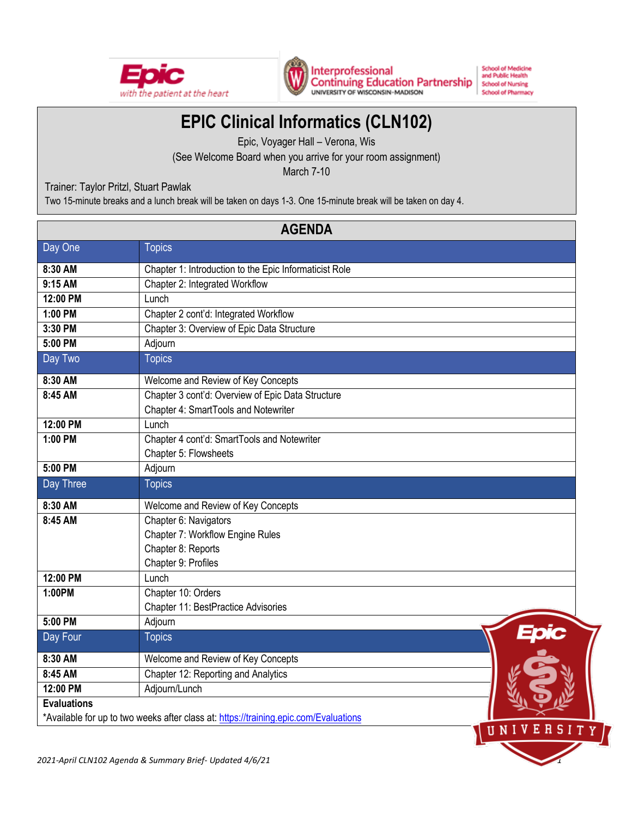



Interprofessional **Continuing Education Partnership** UNIVERSITY OF WISCONSIN-MADISON

**School of Medicine** and Public Health **School of Nursing School of Pharmacy** 

r u

# **EPIC Clinical Informatics (CLN102)**

Epic, Voyager Hall – Verona, Wis

(See Welcome Board when you arrive for your room assignment)

March 7-10

Trainer: Taylor Pritzl, Stuart Pawlak

Two 15-minute breaks and a lunch break will be taken on days 1-3. One 15-minute break will be taken on day 4.

| <b>AGENDA</b>                                                                        |                                                        |  |  |  |
|--------------------------------------------------------------------------------------|--------------------------------------------------------|--|--|--|
| Day One                                                                              | <b>Topics</b>                                          |  |  |  |
| 8:30 AM                                                                              | Chapter 1: Introduction to the Epic Informaticist Role |  |  |  |
| 9:15 AM                                                                              | Chapter 2: Integrated Workflow                         |  |  |  |
| 12:00 PM                                                                             | Lunch                                                  |  |  |  |
| 1:00 PM                                                                              | Chapter 2 cont'd: Integrated Workflow                  |  |  |  |
| 3:30 PM                                                                              | Chapter 3: Overview of Epic Data Structure             |  |  |  |
| 5:00 PM                                                                              | Adjourn                                                |  |  |  |
| Day Two                                                                              | <b>Topics</b>                                          |  |  |  |
| 8:30 AM                                                                              | Welcome and Review of Key Concepts                     |  |  |  |
| 8:45 AM                                                                              | Chapter 3 cont'd: Overview of Epic Data Structure      |  |  |  |
|                                                                                      | Chapter 4: SmartTools and Notewriter                   |  |  |  |
| 12:00 PM                                                                             | Lunch                                                  |  |  |  |
| 1:00 PM                                                                              | Chapter 4 cont'd: SmartTools and Notewriter            |  |  |  |
|                                                                                      | Chapter 5: Flowsheets                                  |  |  |  |
| 5:00 PM                                                                              | Adjourn                                                |  |  |  |
| Day Three                                                                            | <b>Topics</b>                                          |  |  |  |
| 8:30 AM                                                                              | Welcome and Review of Key Concepts                     |  |  |  |
| 8:45 AM                                                                              | Chapter 6: Navigators                                  |  |  |  |
|                                                                                      | Chapter 7: Workflow Engine Rules                       |  |  |  |
|                                                                                      | Chapter 8: Reports                                     |  |  |  |
|                                                                                      | Chapter 9: Profiles                                    |  |  |  |
| 12:00 PM                                                                             | Lunch                                                  |  |  |  |
| 1:00PM                                                                               | Chapter 10: Orders                                     |  |  |  |
|                                                                                      | Chapter 11: BestPractice Advisories                    |  |  |  |
| 5:00 PM                                                                              | Adjourn                                                |  |  |  |
| Day Four                                                                             | <b>ipic</b><br><b>Topics</b>                           |  |  |  |
| 8:30 AM                                                                              | Welcome and Review of Key Concepts                     |  |  |  |
| 8:45 AM                                                                              | Chapter 12: Reporting and Analytics                    |  |  |  |
| 12:00 PM                                                                             | Adjourn/Lunch                                          |  |  |  |
| <b>Evaluations</b>                                                                   |                                                        |  |  |  |
| *Available for up to two weeks after class at: https://training.epic.com/Evaluations |                                                        |  |  |  |

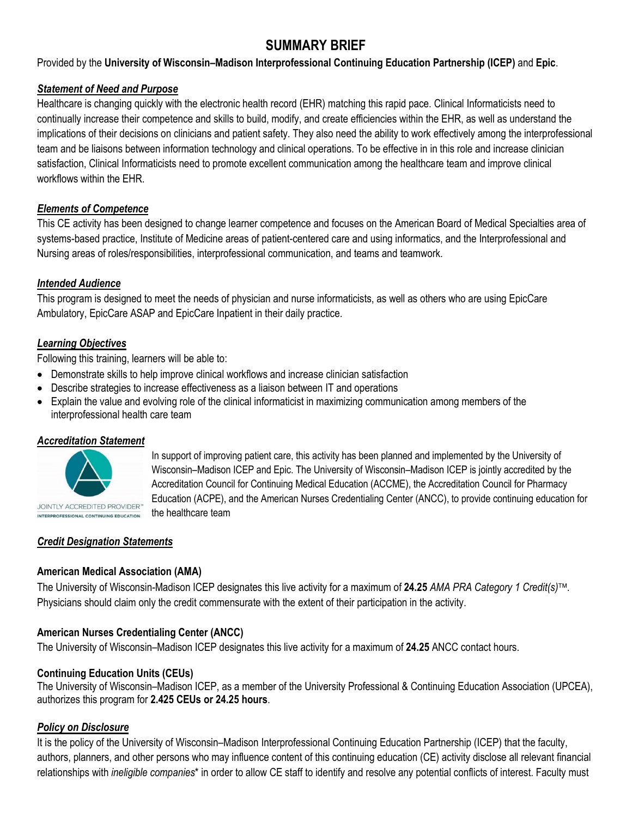# **SUMMARY BRIEF**

Provided by the **University of Wisconsin–Madison Interprofessional Continuing Education Partnership (ICEP)** and **Epic**.

#### *Statement of Need and Purpose*

Healthcare is changing quickly with the electronic health record (EHR) matching this rapid pace. Clinical Informaticists need to continually increase their competence and skills to build, modify, and create efficiencies within the EHR, as well as understand the implications of their decisions on clinicians and patient safety. They also need the ability to work effectively among the interprofessional team and be liaisons between information technology and clinical operations. To be effective in in this role and increase clinician satisfaction, Clinical Informaticists need to promote excellent communication among the healthcare team and improve clinical workflows within the EHR.

#### *Elements of Competence*

This CE activity has been designed to change learner competence and focuses on the American Board of Medical Specialties area of systems-based practice, Institute of Medicine areas of patient-centered care and using informatics, and the Interprofessional and Nursing areas of roles/responsibilities, interprofessional communication, and teams and teamwork.

#### *Intended Audience*

This program is designed to meet the needs of physician and nurse informaticists, as well as others who are using EpicCare Ambulatory, EpicCare ASAP and EpicCare Inpatient in their daily practice.

# *Learning Objectives*

Following this training, learners will be able to:

- Demonstrate skills to help improve clinical workflows and increase clinician satisfaction
- Describe strategies to increase effectiveness as a liaison between IT and operations
- Explain the value and evolving role of the clinical informaticist in maximizing communication among members of the interprofessional health care team

## *Accreditation Statement*



In support of improving patient care, this activity has been planned and implemented by the University of Wisconsin–Madison ICEP and Epic. The University of Wisconsin–Madison ICEP is jointly accredited by the Accreditation Council for Continuing Medical Education (ACCME), the Accreditation Council for Pharmacy Education (ACPE), and the American Nurses Credentialing Center (ANCC), to provide continuing education for the healthcare team

## *Credit Designation Statements*

## **American Medical Association (AMA)**

The University of Wisconsin-Madison ICEP designates this live activity for a maximum of **24.25** *AMA PRA Category 1 Credit(s)*. Physicians should claim only the credit commensurate with the extent of their participation in the activity.

## **American Nurses Credentialing Center (ANCC)**

The University of Wisconsin–Madison ICEP designates this live activity for a maximum of **24.25** ANCC contact hours.

## **Continuing Education Units (CEUs)**

The University of Wisconsin–Madison ICEP, as a member of the University Professional & Continuing Education Association (UPCEA), authorizes this program for **2.425 CEUs or 24.25 hours**.

## *Policy on Disclosure*

It is the policy of the University of Wisconsin–Madison Interprofessional Continuing Education Partnership (ICEP) that the faculty, authors, planners, and other persons who may influence content of this continuing education (CE) activity disclose all relevant financial relationships with *ineligible companies*\* in order to allow CE staff to identify and resolve any potential conflicts of interest. Faculty must